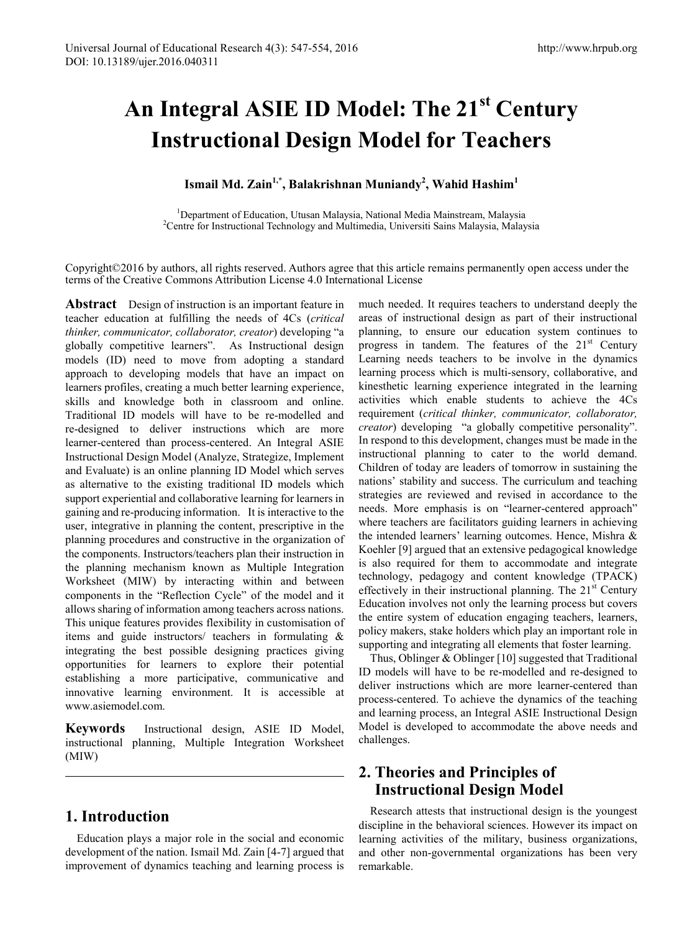# **An Integral ASIE ID Model: The 21st Century Instructional Design Model for Teachers**

#### **Ismail Md. Zain1,\*, Balakrishnan Muniandy2 , Wahid Hashim<sup>1</sup>**

<sup>1</sup>Department of Education, Utusan Malaysia, National Media Mainstream, Malaysia<sup>2</sup>Centre for Instructional Technology and Multimedia University Sains Malaysia <sup>2</sup>Centre for Instructional Technology and Multimedia, Universiti Sains Malaysia, Malaysia

Copyright©2016 by authors, all rights reserved. Authors agree that this article remains permanently open access under the terms of the Creative Commons Attribution License 4.0 International License

**Abstract** Design of instruction is an important feature in teacher education at fulfilling the needs of 4Cs (*critical thinker, communicator, collaborator, creator*) developing "a globally competitive learners". As Instructional design models (ID) need to move from adopting a standard approach to developing models that have an impact on learners profiles, creating a much better learning experience, skills and knowledge both in classroom and online. Traditional ID models will have to be re-modelled and re-designed to deliver instructions which are more learner-centered than process-centered. An Integral ASIE Instructional Design Model (Analyze, Strategize, Implement and Evaluate) is an online planning ID Model which serves as alternative to the existing traditional ID models which support experiential and collaborative learning for learners in gaining and re-producing information. It is interactive to the user, integrative in planning the content, prescriptive in the planning procedures and constructive in the organization of the components. Instructors/teachers plan their instruction in the planning mechanism known as Multiple Integration Worksheet (MIW) by interacting within and between components in the "Reflection Cycle" of the model and it allows sharing of information among teachers across nations. This unique features provides flexibility in customisation of items and guide instructors/ teachers in formulating & integrating the best possible designing practices giving opportunities for learners to explore their potential establishing a more participative, communicative and innovative learning environment. It is accessible at www.asiemodel.com.

**Keywords** Instructional design, ASIE ID Model, instructional planning, Multiple Integration Worksheet (MIW)

## **1. Introduction**

Education plays a major role in the social and economic development of the nation. Ismail Md. Zain [4-7] argued that improvement of dynamics teaching and learning process is

much needed. It requires teachers to understand deeply the areas of instructional design as part of their instructional planning, to ensure our education system continues to progress in tandem. The features of the  $21<sup>st</sup>$  Century Learning needs teachers to be involve in the dynamics learning process which is multi-sensory, collaborative, and kinesthetic learning experience integrated in the learning activities which enable students to achieve the 4Cs requirement (*critical thinker, communicator, collaborator, creator*) developing "a globally competitive personality". In respond to this development, changes must be made in the instructional planning to cater to the world demand. Children of today are leaders of tomorrow in sustaining the nations' stability and success. The curriculum and teaching strategies are reviewed and revised in accordance to the needs. More emphasis is on "learner-centered approach" where teachers are facilitators guiding learners in achieving the intended learners' learning outcomes. Hence, Mishra & Koehler [9] argued that an extensive pedagogical knowledge is also required for them to accommodate and integrate technology, pedagogy and content knowledge (TPACK) effectively in their instructional planning. The  $21<sup>st</sup>$  Century Education involves not only the learning process but covers the entire system of education engaging teachers, learners, policy makers, stake holders which play an important role in supporting and integrating all elements that foster learning.

Thus, Oblinger & Oblinger [10] suggested that Traditional ID models will have to be re-modelled and re-designed to deliver instructions which are more learner-centered than process-centered. To achieve the dynamics of the teaching and learning process, an Integral ASIE Instructional Design Model is developed to accommodate the above needs and challenges.

# **2. Theories and Principles of Instructional Design Model**

Research attests that instructional design is the youngest discipline in the behavioral sciences. However its impact on learning activities of the military, business organizations, and other non-governmental organizations has been very remarkable.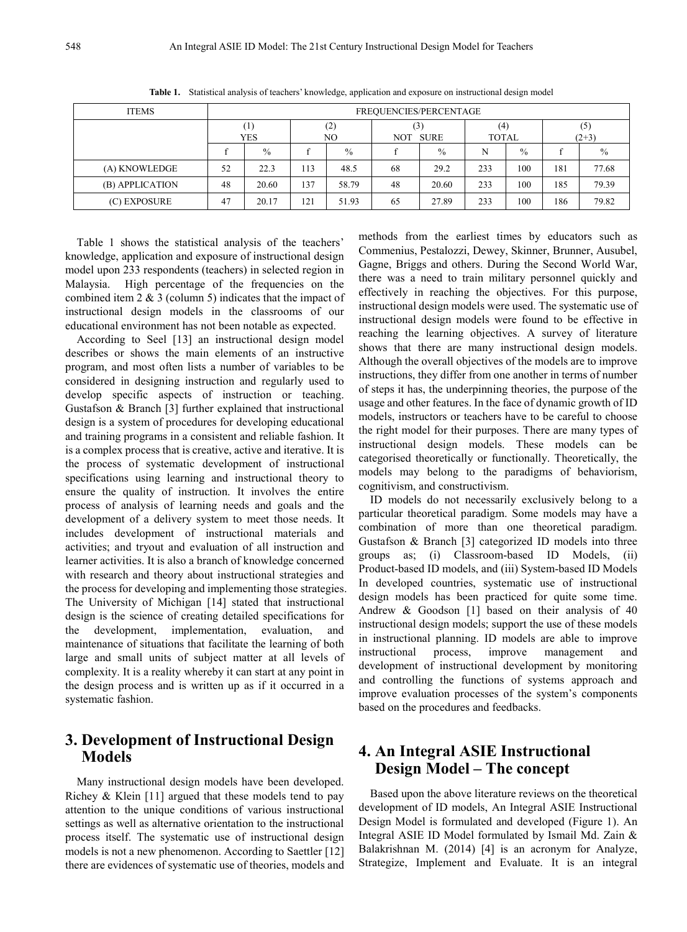| <b>ITEMS</b>    | FREQUENCIES/PERCENTAGE |               |            |       |                           |       |                     |               |                |       |
|-----------------|------------------------|---------------|------------|-------|---------------------------|-------|---------------------|---------------|----------------|-------|
|                 | $_{1}$<br>YES          |               | (2)<br>NO. |       | (3)<br><b>SURE</b><br>NOT |       | (4)<br><b>TOTAL</b> |               | (5)<br>$(2+3)$ |       |
|                 |                        | $\frac{0}{0}$ |            | $\%$  |                           | $\%$  | N                   | $\frac{0}{0}$ |                | $\%$  |
| (A) KNOWLEDGE   | 52                     | 22.3          | 113        | 48.5  | 68                        | 29.2  | 233                 | 100           | 181            | 77.68 |
| (B) APPLICATION | 48                     | 20.60         | 137        | 58.79 | 48                        | 20.60 | 233                 | 100           | 185            | 79.39 |
| (C) EXPOSURE    | 47                     | 20.17         | 121        | 51.93 | 65                        | 27.89 | 233                 | 100           | 186            | 79.82 |

**Table 1.** Statistical analysis of teachers' knowledge, application and exposure on instructional design model

Table 1 shows the statistical analysis of the teachers' knowledge, application and exposure of instructional design model upon 233 respondents (teachers) in selected region in Malaysia. High percentage of the frequencies on the combined item 2 & 3 (column 5) indicates that the impact of instructional design models in the classrooms of our educational environment has not been notable as expected.

According to Seel [13] an instructional design model describes or shows the main elements of an instructive program, and most often lists a number of variables to be considered in designing instruction and regularly used to develop specific aspects of instruction or teaching. Gustafson & Branch [3] further explained that instructional design is a system of procedures for developing educational and training programs in a consistent and reliable fashion. It is a complex process that is creative, active and iterative. It is the process of systematic development of instructional specifications using learning and instructional theory to ensure the quality of instruction. It involves the entire process of analysis of learning needs and goals and the development of a delivery system to meet those needs. It includes development of instructional materials and activities; and tryout and evaluation of all instruction and learner activities. It is also a branch of knowledge concerned with research and theory about instructional strategies and the process for developing and implementing those strategies. The University of Michigan [14] stated that instructional design is the science of creating detailed specifications for the development, implementation, evaluation, and maintenance of situations that facilitate the learning of both large and small units of subject matter at all levels of complexity. It is a reality whereby it can start at any point in the design process and is written up as if it occurred in a systematic fashion.

## **3. Development of Instructional Design Models**

Many instructional design models have been developed. Richey & Klein [11] argued that these models tend to pay attention to the unique conditions of various instructional settings as well as alternative orientation to the instructional process itself. The systematic use of instructional design models is not a new phenomenon. According to Saettler [12] there are evidences of systematic use of theories, models and

methods from the earliest times by educators such as Commenius, Pestalozzi, Dewey, Skinner, Brunner, Ausubel, Gagne, Briggs and others. During the Second World War, there was a need to train military personnel quickly and effectively in reaching the objectives. For this purpose, instructional design models were used. The systematic use of instructional design models were found to be effective in reaching the learning objectives. A survey of literature shows that there are many instructional design models. Although the overall objectives of the models are to improve instructions, they differ from one another in terms of number of steps it has, the underpinning theories, the purpose of the usage and other features. In the face of dynamic growth of ID models, instructors or teachers have to be careful to choose the right model for their purposes. There are many types of instructional design models. These models can be categorised theoretically or functionally. Theoretically, the models may belong to the paradigms of behaviorism, cognitivism, and constructivism.

ID models do not necessarily exclusively belong to a particular theoretical paradigm. Some models may have a combination of more than one theoretical paradigm. Gustafson & Branch [3] categorized ID models into three groups as; (i) Classroom-based ID Models, (ii) Product-based ID models, and (iii) System-based ID Models In developed countries, systematic use of instructional design models has been practiced for quite some time. Andrew & Goodson [1] based on their analysis of 40 instructional design models; support the use of these models in instructional planning. ID models are able to improve instructional process, improve management and development of instructional development by monitoring and controlling the functions of systems approach and improve evaluation processes of the system's components based on the procedures and feedbacks.

# **4. An Integral ASIE Instructional Design Model – The concept**

Based upon the above literature reviews on the theoretical development of ID models, An Integral ASIE Instructional Design Model is formulated and developed (Figure 1). An Integral ASIE ID Model formulated by Ismail Md. Zain & Balakrishnan M. (2014) [4] is an acronym for Analyze, Strategize, Implement and Evaluate. It is an integral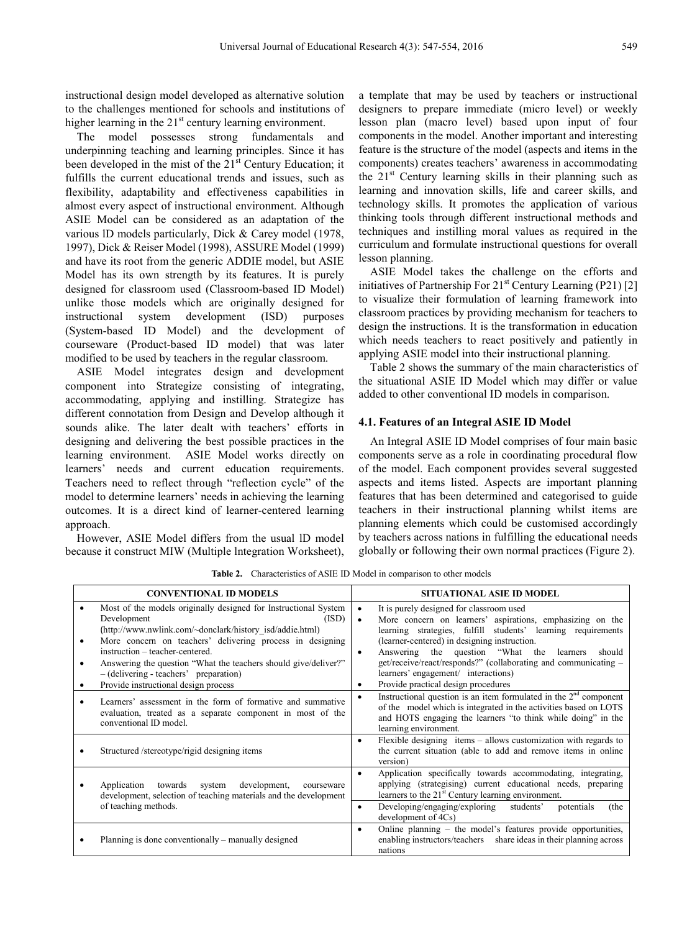instructional design model developed as alternative solution to the challenges mentioned for schools and institutions of higher learning in the  $21<sup>st</sup>$  century learning environment.

The model possesses strong fundamentals and underpinning teaching and learning principles. Since it has been developed in the mist of the  $21<sup>st</sup>$  Century Education; it fulfills the current educational trends and issues, such as flexibility, adaptability and effectiveness capabilities in almost every aspect of instructional environment. Although ASIE Model can be considered as an adaptation of the various lD models particularly, Dick & Carey model (1978, 1997), Dick & Reiser Model (1998), ASSURE Model (1999) and have its root from the generic ADDIE model, but ASIE Model has its own strength by its features. It is purely designed for classroom used (Classroom-based ID Model) unlike those models which are originally designed for instructional system development (ISD) purposes (System-based ID Model) and the development of courseware (Product-based ID model) that was later modified to be used by teachers in the regular classroom.

ASIE Model integrates design and development component into Strategize consisting of integrating, accommodating, applying and instilling. Strategize has different connotation from Design and Develop although it sounds alike. The later dealt with teachers' efforts in designing and delivering the best possible practices in the learning environment. ASIE Model works directly on learners' needs and current education requirements. Teachers need to reflect through "reflection cycle" of the model to determine learners' needs in achieving the learning outcomes. It is a direct kind of learner-centered learning approach.

However, ASIE Model differs from the usual lD model because it construct MIW (Multiple lntegration Worksheet),

a template that may be used by teachers or instructional designers to prepare immediate (micro level) or weekly lesson plan (macro level) based upon input of four components in the model. Another important and interesting feature is the structure of the model (aspects and items in the components) creates teachers' awareness in accommodating the  $21<sup>st</sup>$  Century learning skills in their planning such as learning and innovation skills, life and career skills, and technology skills. It promotes the application of various thinking tools through different instructional methods and techniques and instilling moral values as required in the curriculum and formulate instructional questions for overall lesson planning.

ASIE Model takes the challenge on the efforts and initiatives of Partnership For  $21<sup>st</sup>$  Century Learning (P21) [2] to visualize their formulation of learning framework into classroom practices by providing mechanism for teachers to design the instructions. It is the transformation in education which needs teachers to react positively and patiently in applying ASIE model into their instructional planning.

Table 2 shows the summary of the main characteristics of the situational ASIE ID Model which may differ or value added to other conventional ID models in comparison.

#### **4.1. Features of an Integral ASIE ID Model**

An Integral ASIE ID Model comprises of four main basic components serve as a role in coordinating procedural flow of the model. Each component provides several suggested aspects and items listed. Aspects are important planning features that has been determined and categorised to guide teachers in their instructional planning whilst items are planning elements which could be customised accordingly by teachers across nations in fulfilling the educational needs globally or following their own normal practices (Figure 2).

| <b>CONVENTIONAL ID MODELS</b>                                                                                                                                                                                                                                                                                                                                    |                                     | <b>SITUATIONAL ASIE ID MODEL</b>                                                                                                                                                                                                                                                                                                                                                        |
|------------------------------------------------------------------------------------------------------------------------------------------------------------------------------------------------------------------------------------------------------------------------------------------------------------------------------------------------------------------|-------------------------------------|-----------------------------------------------------------------------------------------------------------------------------------------------------------------------------------------------------------------------------------------------------------------------------------------------------------------------------------------------------------------------------------------|
| Most of the models originally designed for Instructional System<br>Development<br>(ISD)<br>(http://www.nwlink.com/~donclark/history_isd/addie.html)<br>More concern on teachers' delivering process in designing<br>instruction – teacher-centered.<br>Answering the question "What the teachers should give/deliver?"<br>- (delivering - teachers' preparation) | $\bullet$<br>$\bullet$<br>$\bullet$ | It is purely designed for classroom used<br>More concern on learners' aspirations, emphasizing on the<br>learning strategies, fulfill students' learning requirements<br>(learner-centered) in designing instruction.<br>Answering the question "What the learners"<br>should<br>get/receive/react/responds?" (collaborating and communicating –<br>learners' engagement/ interactions) |
| Provide instructional design process                                                                                                                                                                                                                                                                                                                             | $\bullet$                           | Provide practical design procedures                                                                                                                                                                                                                                                                                                                                                     |
| Learners' assessment in the form of formative and summative<br>evaluation, treated as a separate component in most of the<br>conventional ID model.                                                                                                                                                                                                              |                                     | Instructional question is an item formulated in the $2nd$ component<br>of the model which is integrated in the activities based on LOTS<br>and HOTS engaging the learners "to think while doing" in the<br>learning environment.                                                                                                                                                        |
| Structured /stereotype/rigid designing items                                                                                                                                                                                                                                                                                                                     | $\bullet$                           | Flexible designing items - allows customization with regards to<br>the current situation (able to add and remove items in online<br>version)                                                                                                                                                                                                                                            |
| Application towards system<br>development,<br>courseware<br>development, selection of teaching materials and the development                                                                                                                                                                                                                                     |                                     | Application specifically towards accommodating, integrating,<br>applying (strategising) current educational needs, preparing<br>learners to the 21 <sup>st</sup> Century learning environment.                                                                                                                                                                                          |
| of teaching methods.                                                                                                                                                                                                                                                                                                                                             | $\bullet$                           | Developing/engaging/exploring<br>students'<br>potentials<br>(the<br>development of 4Cs)                                                                                                                                                                                                                                                                                                 |
| Planning is done conventionally – manually designed                                                                                                                                                                                                                                                                                                              | $\bullet$                           | Online planning - the model's features provide opportunities,<br>enabling instructors/teachers share ideas in their planning across<br>nations                                                                                                                                                                                                                                          |

**Table 2.** Characteristics of ASIE ID Model in comparison to other models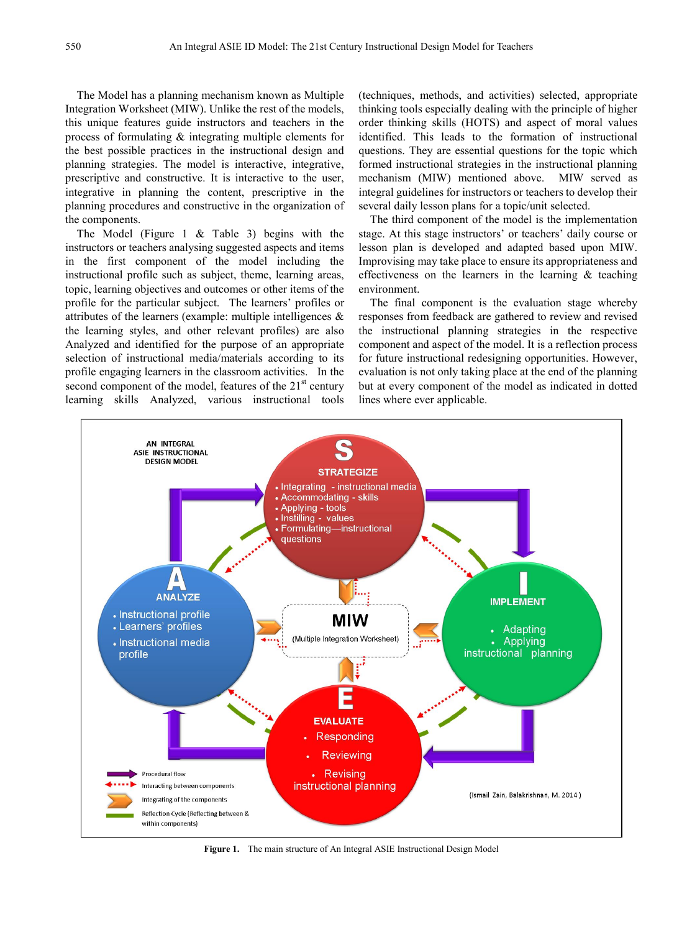The Model has a planning mechanism known as Multiple Integration Worksheet (MIW). Unlike the rest of the models, this unique features guide instructors and teachers in the process of formulating & integrating multiple elements for the best possible practices in the instructional design and planning strategies. The model is interactive, integrative, prescriptive and constructive. It is interactive to the user, integrative in planning the content, prescriptive in the planning procedures and constructive in the organization of the components.

The Model (Figure 1 & Table 3) begins with the instructors or teachers analysing suggested aspects and items in the first component of the model including the instructional profile such as subject, theme, learning areas, topic, learning objectives and outcomes or other items of the profile for the particular subject. The learners' profiles or attributes of the learners (example: multiple intelligences & the learning styles, and other relevant profiles) are also Analyzed and identified for the purpose of an appropriate selection of instructional media/materials according to its profile engaging learners in the classroom activities. In the second component of the model, features of the  $21<sup>st</sup>$  century learning skills Analyzed, various instructional tools (techniques, methods, and activities) selected, appropriate thinking tools especially dealing with the principle of higher order thinking skills (HOTS) and aspect of moral values identified. This leads to the formation of instructional questions. They are essential questions for the topic which formed instructional strategies in the instructional planning mechanism (MIW) mentioned above. MIW served as integral guidelines for instructors or teachers to develop their several daily lesson plans for a topic/unit selected.

The third component of the model is the implementation stage. At this stage instructors' or teachers' daily course or lesson plan is developed and adapted based upon MIW. Improvising may take place to ensure its appropriateness and effectiveness on the learners in the learning & teaching environment.

The final component is the evaluation stage whereby responses from feedback are gathered to review and revised the instructional planning strategies in the respective component and aspect of the model. It is a reflection process for future instructional redesigning opportunities. However, evaluation is not only taking place at the end of the planning but at every component of the model as indicated in dotted lines where ever applicable.



**Figure 1.** The main structure of An Integral ASIE Instructional Design Model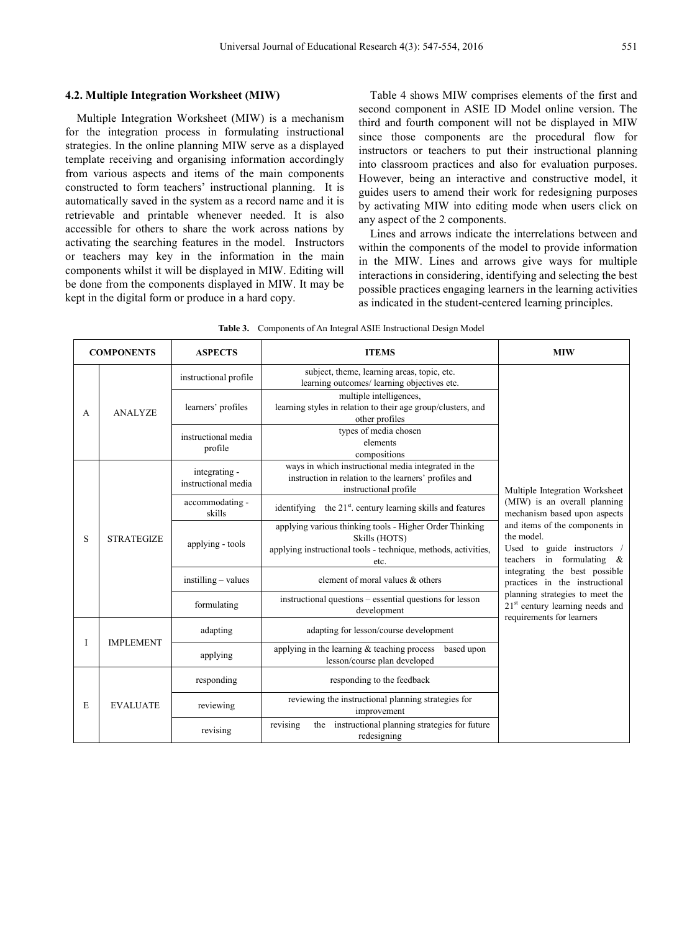Multiple Integration Worksheet (MIW) is a mechanism for the integration process in formulating instructional strategies. In the online planning MIW serve as a displayed template receiving and organising information accordingly from various aspects and items of the main components constructed to form teachers' instructional planning. It is automatically saved in the system as a record name and it is retrievable and printable whenever needed. It is also accessible for others to share the work across nations by activating the searching features in the model. Instructors or teachers may key in the information in the main components whilst it will be displayed in MIW. Editing will be done from the components displayed in MIW. It may be kept in the digital form or produce in a hard copy.

Table 4 shows MIW comprises elements of the first and second component in ASIE ID Model online version. The third and fourth component will not be displayed in MIW since those components are the procedural flow for instructors or teachers to put their instructional planning into classroom practices and also for evaluation purposes. However, being an interactive and constructive model, it guides users to amend their work for redesigning purposes by activating MIW into editing mode when users click on any aspect of the 2 components.

Lines and arrows indicate the interrelations between and within the components of the model to provide information in the MIW. Lines and arrows give ways for multiple interactions in considering, identifying and selecting the best possible practices engaging learners in the learning activities as indicated in the student-centered learning principles.

| <b>COMPONENTS</b> |                   | <b>ASPECTS</b>                                                                                                                                                                | <b>ITEMS</b>                                                                                                                                       | <b>MIW</b>                                                                                                  |
|-------------------|-------------------|-------------------------------------------------------------------------------------------------------------------------------------------------------------------------------|----------------------------------------------------------------------------------------------------------------------------------------------------|-------------------------------------------------------------------------------------------------------------|
|                   |                   | instructional profile                                                                                                                                                         | subject, theme, learning areas, topic, etc.<br>learning outcomes/ learning objectives etc.                                                         |                                                                                                             |
| A                 | <b>ANALYZE</b>    | learners' profiles                                                                                                                                                            | multiple intelligences,<br>learning styles in relation to their age group/clusters, and<br>other profiles                                          |                                                                                                             |
|                   |                   | instructional media<br>profile                                                                                                                                                | types of media chosen<br>elements<br>compositions                                                                                                  |                                                                                                             |
|                   |                   | ways in which instructional media integrated in the<br>integrating -<br>instruction in relation to the learners' profiles and<br>instructional media<br>instructional profile |                                                                                                                                                    | Multiple Integration Worksheet                                                                              |
|                   |                   | accommodating -<br>skills                                                                                                                                                     | the 21 <sup>st</sup> . century learning skills and features<br>identifying                                                                         | (MIW) is an overall planning<br>mechanism based upon aspects                                                |
| S                 | <b>STRATEGIZE</b> | applying - tools                                                                                                                                                              | applying various thinking tools - Higher Order Thinking<br>Skills (HOTS)<br>applying instructional tools - technique, methods, activities,<br>etc. | and items of the components in<br>the model.<br>Used to guide instructors /<br>teachers in formulating $\&$ |
|                   |                   | $instilling - values$                                                                                                                                                         | element of moral values & others                                                                                                                   | integrating the best possible<br>practices in the instructional                                             |
|                   |                   | instructional questions – essential questions for lesson<br>formulating<br>development                                                                                        |                                                                                                                                                    | planning strategies to meet the<br>$21st$ century learning needs and<br>requirements for learners           |
|                   |                   | adapting                                                                                                                                                                      | adapting for lesson/course development                                                                                                             |                                                                                                             |
| I                 | <b>IMPLEMENT</b>  | applying                                                                                                                                                                      | applying in the learning $&$ teaching process<br>based upon<br>lesson/course plan developed                                                        |                                                                                                             |
|                   |                   | responding                                                                                                                                                                    | responding to the feedback                                                                                                                         |                                                                                                             |
| E                 | <b>EVALUATE</b>   | reviewing                                                                                                                                                                     | reviewing the instructional planning strategies for<br>improvement                                                                                 |                                                                                                             |
|                   |                   | revising                                                                                                                                                                      | revising<br>instructional planning strategies for future<br>the<br>redesigning                                                                     |                                                                                                             |

| Table 3. Components of An Integral ASIE Instructional Design Model |  |
|--------------------------------------------------------------------|--|
|                                                                    |  |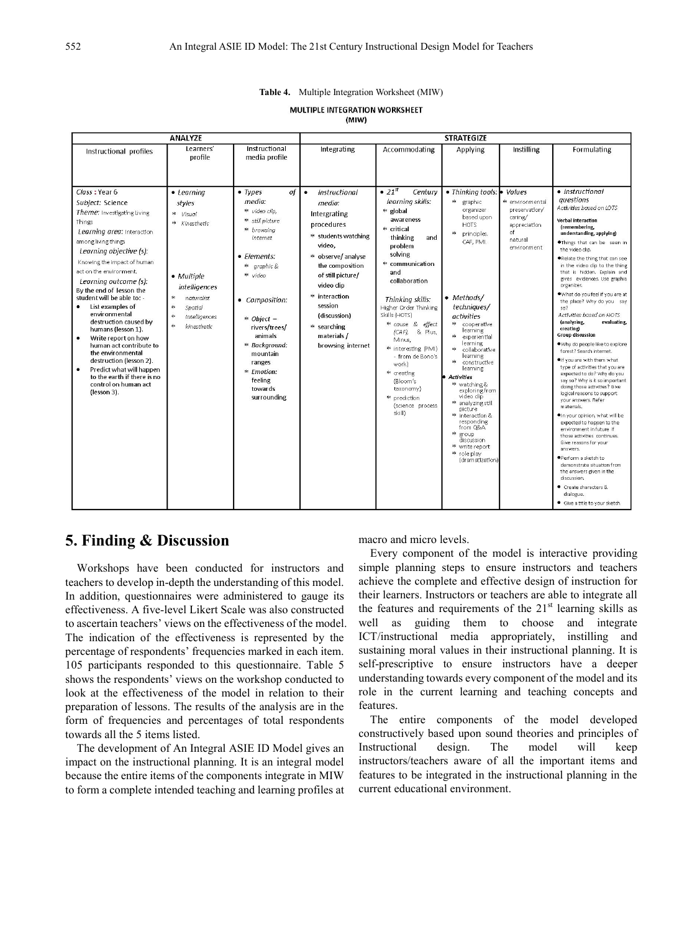| Table 4. |  |  | Multiple Integration Worksheet (MIW) |  |
|----------|--|--|--------------------------------------|--|
|----------|--|--|--------------------------------------|--|

**MULTIPLE INTEGRATION WORKSHEET**  $(MIW)$ 

|                                                                                                                                                                                                                                                                                                                                                                                                                                                                                                                                                                                                                           | <b>ANALYZE</b>                                                                                                                                                                                |                                                                                                                                                                                                                                                                                                | <b>STRATEGIZE</b>                                                                                                                                                                                                                                                             |                                                                                                                                                                                                                                                                                                                                                                                                                                     |                                                                                                                                                                                                                                                                                                                                                                                                                                                                                                                           |                                                                                                        |                                                                                                                                                                                                                                                                                                                                                                                                                                                                                                                                                                                                                                                                                                                                                                                                                                                                                                                                                                                                                                                                                                                                                                     |  |  |
|---------------------------------------------------------------------------------------------------------------------------------------------------------------------------------------------------------------------------------------------------------------------------------------------------------------------------------------------------------------------------------------------------------------------------------------------------------------------------------------------------------------------------------------------------------------------------------------------------------------------------|-----------------------------------------------------------------------------------------------------------------------------------------------------------------------------------------------|------------------------------------------------------------------------------------------------------------------------------------------------------------------------------------------------------------------------------------------------------------------------------------------------|-------------------------------------------------------------------------------------------------------------------------------------------------------------------------------------------------------------------------------------------------------------------------------|-------------------------------------------------------------------------------------------------------------------------------------------------------------------------------------------------------------------------------------------------------------------------------------------------------------------------------------------------------------------------------------------------------------------------------------|---------------------------------------------------------------------------------------------------------------------------------------------------------------------------------------------------------------------------------------------------------------------------------------------------------------------------------------------------------------------------------------------------------------------------------------------------------------------------------------------------------------------------|--------------------------------------------------------------------------------------------------------|---------------------------------------------------------------------------------------------------------------------------------------------------------------------------------------------------------------------------------------------------------------------------------------------------------------------------------------------------------------------------------------------------------------------------------------------------------------------------------------------------------------------------------------------------------------------------------------------------------------------------------------------------------------------------------------------------------------------------------------------------------------------------------------------------------------------------------------------------------------------------------------------------------------------------------------------------------------------------------------------------------------------------------------------------------------------------------------------------------------------------------------------------------------------|--|--|
| Instructional profiles                                                                                                                                                                                                                                                                                                                                                                                                                                                                                                                                                                                                    | Learners'<br>profile                                                                                                                                                                          | Instructional<br>media profile                                                                                                                                                                                                                                                                 | Integrating                                                                                                                                                                                                                                                                   | Accommodating                                                                                                                                                                                                                                                                                                                                                                                                                       | Applying                                                                                                                                                                                                                                                                                                                                                                                                                                                                                                                  | Instilling                                                                                             | Formulating                                                                                                                                                                                                                                                                                                                                                                                                                                                                                                                                                                                                                                                                                                                                                                                                                                                                                                                                                                                                                                                                                                                                                         |  |  |
| Class: Year 6<br>Subject: Science<br>Theme: Investigating Living<br>Things<br>Learning area: Interaction<br>among living things<br>Learning objective (s):<br>Knowing the impact of human<br>act on the environment.<br>Learning outcome (s):<br>By the end of lesson the<br>student will be able to: -<br>List examples of<br>environmental<br>destruction caused by<br>humans (lesson 1).<br>Write report on how<br>$\bullet$<br>human act contribute to<br>the environmental<br>destruction (lesson 2).<br>Predict what will happen<br>$\bullet$<br>to the earth if there is no<br>control on human act<br>(lesson 3). | $\bullet$ Learning<br>styles<br>* Visual<br>* Kinesthetic<br>• Multiple<br>intelligences<br>$\frac{1}{2}$<br>naturalist<br>$\frac{1}{2}$<br>Spatial<br>申<br>Intelligences<br>申<br>kinesthetic | of<br>$\bullet$ Types<br>media:<br>* video clip.<br>* still picture<br>* browsing<br>internet<br>• Elements:<br>* graphic &<br>* video<br>• Composition:<br>$*$ Object -<br>rivers/trees/<br>animals<br>* Background:<br>mountain<br>ranges<br>* Emotion:<br>feeling<br>towards<br>surrounding | Instructional<br>$\bullet$<br>media:<br>Intergrating<br>procedures<br>* students watching<br>video.<br>* observe/analyse<br>the composition<br>of still picture/<br>video clip<br>* interaction<br>session<br>(discussion)<br>* searching<br>materials /<br>browsing internet | $\bullet$ 21st<br>Century<br>learning skills:<br>* global<br>awareness<br>* critical<br>thinking<br>and<br>problem<br>solving<br>* communication<br>and<br>collaboration<br>Thinking skills:<br>Higher Order Thinking<br>Skills (HOTS)<br>* cause & effect<br>(CAF),<br>& Plus,<br>Minus,<br>* interesting (PMI)<br>- from de Bono's<br>work)<br>** creating<br>(Bloom's<br>taxonomy)<br>* prediction<br>(science process<br>skill) | • Thinking tools: •<br>乖<br>graphic<br>organizer<br>based upon<br><b>HOTS</b><br>$\ast$<br>principles.<br>CAF. PMI.<br>• Methods/<br>techniques/<br>activities<br>申<br>cooperative<br>learning<br>experiential<br>learning<br>collaborative<br>learning<br>申<br>constructive<br>learning<br><b>Activities</b><br>** watching &<br>exploring from<br>video clip<br>* analyzing still<br>picture<br>* interaction &<br>responding<br>from Q&A.<br>* group<br>discussion<br>* write report<br>* role play<br>(dramatization) | Values<br>* environmental<br>preservation/<br>caring/<br>appreciation<br>of.<br>natural<br>environment | • Instructional<br>questions<br>Activities based on LOTS<br><b>Verbal interaction</b><br>(remembering,<br>understanding, applying)<br>.Things that can be seen in<br>the video clip.<br>Relate the thing that can see<br>in the video clip to the thing<br>that is hidden. Explain and<br>gives evidences. Use graphic<br>organizer.<br>.What do you feel if you are at<br>the place? Why do you say<br>sn <sub>2</sub><br>Activities based on HOTS<br>(analyzing,<br>evaluating,<br>creating)<br><b>Group discussion</b><br>. Why do people like to explore<br>forest? Search internet.<br>. If you are with them what<br>type of activities that you are<br>expected to do? Why do you<br>say so? Why is it so important<br>doing those activities? Give<br>logical reasons to support<br>vour answers. Refer<br>materials.<br>OIn your opinion, what will be<br>expected to happen to the<br>environment in future if<br>those activities continues.<br>Give reasons for your<br>answers.<br>●Perform a sketch to<br>demonstrate situation from<br>the answers given in the<br>discussion.<br>Create characters &<br>dialogue.<br>· Give a title to your sketch. |  |  |

## **5. Finding & Discussion**

Workshops have been conducted for instructors and teachers to develop in-depth the understanding of this model. In addition, questionnaires were administered to gauge its effectiveness. A five-level Likert Scale was also constructed to ascertain teachers' views on the effectiveness of the model. The indication of the effectiveness is represented by the percentage of respondents' frequencies marked in each item. 105 participants responded to this questionnaire. Table 5 shows the respondents' views on the workshop conducted to look at the effectiveness of the model in relation to their preparation of lessons. The results of the analysis are in the form of frequencies and percentages of total respondents towards all the 5 items listed.

The development of An Integral ASIE ID Model gives an impact on the instructional planning. It is an integral model because the entire items of the components integrate in MIW to form a complete intended teaching and learning profiles at macro and micro levels.

Every component of the model is interactive providing simple planning steps to ensure instructors and teachers achieve the complete and effective design of instruction for their learners. Instructors or teachers are able to integrate all the features and requirements of the  $21<sup>st</sup>$  learning skills as well as guiding them to choose and integrate ICT/instructional media appropriately, instilling and sustaining moral values in their instructional planning. It is self-prescriptive to ensure instructors have a deeper understanding towards every component of the model and its role in the current learning and teaching concepts and features.

The entire components of the model developed constructively based upon sound theories and principles of Instructional design. The model will keep instructors/teachers aware of all the important items and features to be integrated in the instructional planning in the current educational environment.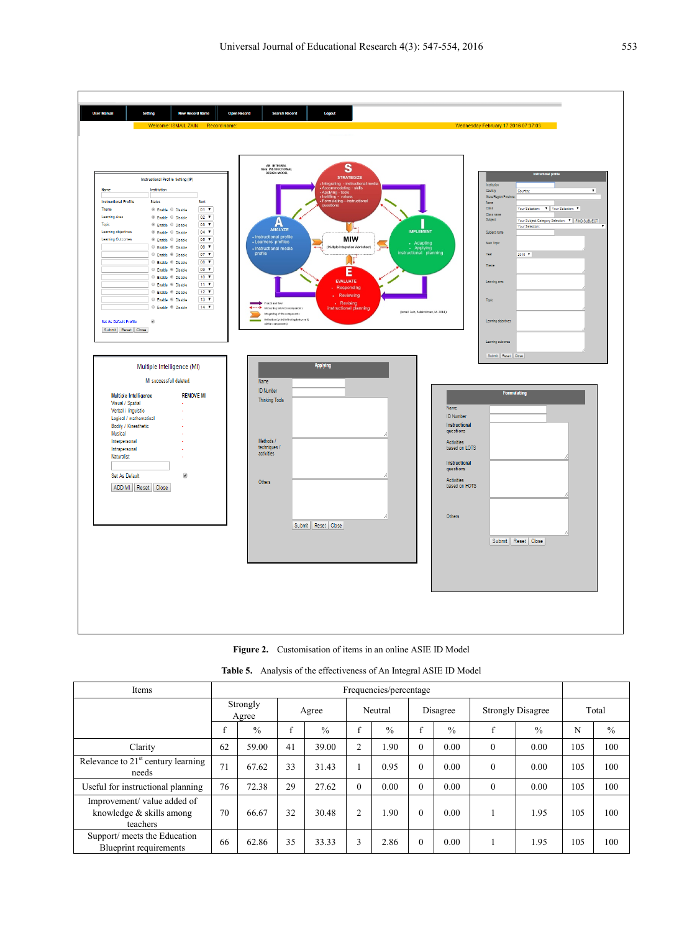

**Figure 2.** Customisation of items in an online ASIE ID Model

| Items                                                              | Frequencies/percentage |               |       |               |                |               |          |               |                          |               |       |               |
|--------------------------------------------------------------------|------------------------|---------------|-------|---------------|----------------|---------------|----------|---------------|--------------------------|---------------|-------|---------------|
|                                                                    | Strongly<br>Agree      |               | Agree |               | Neutral        |               | Disagree |               | <b>Strongly Disagree</b> |               | Total |               |
|                                                                    | $\mathbf{f}$<br>-1     | $\frac{0}{0}$ | f     | $\frac{0}{0}$ | $\mathbf f$    | $\frac{0}{0}$ | £        | $\frac{0}{0}$ | f                        | $\frac{0}{0}$ | N     | $\frac{0}{0}$ |
| Clarity                                                            | 62                     | 59.00         | 41    | 39.00         | $\overline{2}$ | 1.90          | $\theta$ | 0.00          | $\mathbf{0}$             | 0.00          | 105   | 100           |
| Relevance to $21st$ century learning<br>needs                      | 71                     | 67.62         | 33    | 31.43         |                | 0.95          | $\theta$ | 0.00          | $\mathbf{0}$             | 0.00          | 105   | 100           |
| Useful for instructional planning                                  | 76                     | 72.38         | 29    | 27.62         | $\theta$       | 0.00          | $\theta$ | 0.00          | $\mathbf{0}$             | 0.00          | 105   | 100           |
| Improvement/value added of<br>knowledge & skills among<br>teachers | 70                     | 66.67         | 32    | 30.48         | $\overline{2}$ | 1.90          | $\theta$ | 0.00          |                          | 1.95          | 105   | 100           |
| Support/ meets the Education<br>Blueprint requirements             | 66                     | 62.86         | 35    | 33.33         | 3              | 2.86          | $\theta$ | 0.00          |                          | 1.95          | 105   | 100           |

**Table 5.** Analysis of the effectiveness of An Integral ASIE ID Model